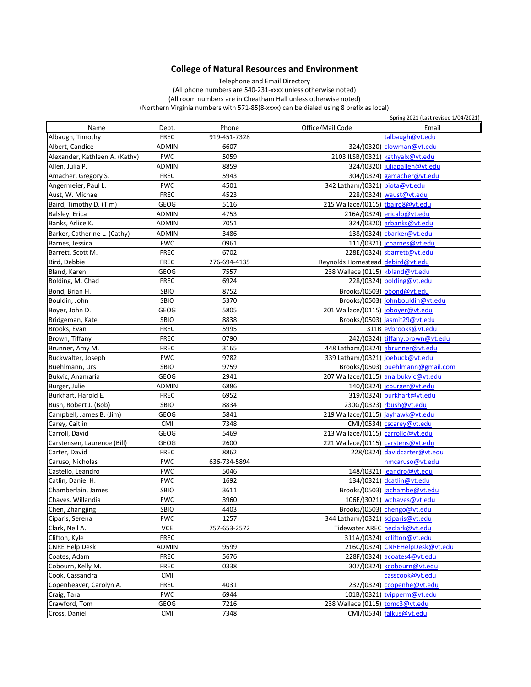## **College of Natural Resources and Environment**

Telephone and Email Directory

(All phone numbers are 540-231-xxxx unless otherwise noted) (Northern Virginia numbers with 571-85(8-xxxx) can be dialed using 8 prefix as local) (All room numbers are in Cheatham Hall unless otherwise noted)

| Phone<br>Office/Mail Code<br>Name<br>Email<br>Dept.<br><b>FREC</b><br>919-451-7328<br>talbaugh@vt.edu<br><b>ADMIN</b><br>6607<br>324/(0320) clowman@vt.edu<br><b>FWC</b><br>5059<br>2103 ILSB/(0321) kathyalx@vt.edu<br>8859<br>324/(0320) juliapallen@vt.edu<br>ADMIN<br>5943<br><b>FREC</b><br>304/(0324) gamacher@vt.edu<br><b>FWC</b><br>4501<br>342 Latham/(0321) biota@vt.edu<br><b>FREC</b><br>4523<br>228/(0324) waust@vt.edu<br><b>GEOG</b><br>5116<br>215 Wallace/(0115) tbaird8@vt.edu<br>4753<br>216A/(0324) ericalb@vt.edu<br>ADMIN<br>7051<br><b>ADMIN</b><br>324/(0320) arbanks@vt.edu<br>3486<br>ADMIN<br>138/(0324) cbarker@vt.edu<br>0961<br><b>FWC</b><br>111/(0321) jcbarnes@vt.edu<br>6702<br><b>FREC</b><br>228E/(0324) sbarrett@vt.edu<br><b>FREC</b><br>276-694-4135<br>Reynolds Homestead debird@vt.edu<br>7557<br>238 Wallace (0115) kbland@vt.edu<br><b>GEOG</b><br>6924<br>228/(0324) bolding@vt.edu<br><b>FREC</b><br>Brooks/(0503) bbond@vt.edu<br>Bond, Brian H.<br>SBIO<br>8752<br>SBIO<br>5370<br>Brooks/(0503) johnbouldin@vt.edu<br>5805<br><b>GEOG</b><br>201 Wallace/(0115) joboyer@vt.edu<br>Bridgeman, Kate<br>SBIO<br>8838<br>Brooks/(0503) jasmit29@vt.edu<br><b>FREC</b><br>5995<br>311B evbrooks@vt.edu<br>242/(0324) tiffany.brown@vt.edu<br><b>FREC</b><br>0790<br><b>FREC</b><br>3165<br>448 Latham/(0324) abrunner@vt.edu<br><b>FWC</b><br>9782<br>339 Latham/(0321) joebuck@vt.edu<br>Buckwalter, Joseph<br>SBIO<br>9759<br>Brooks/(0503) buehlmann@gmail.com<br>207 Wallace/(0115) ana.bukvic@vt.edu<br><b>GEOG</b><br>2941<br>6886<br>140/(0324) jcburger@vt.edu<br><b>ADMIN</b><br>6952<br>319/(0324) burkhart@vt.edu<br><b>FREC</b><br>SBIO<br>8834<br>230G/(0323) rbush@vt.edu<br><b>GEOG</b><br>5841<br>219 Wallace/(0115) jayhawk@vt.edu<br><b>CMI</b><br>7348<br>$CMI/(0534)$ cscarey@vt.edu<br><b>GEOG</b><br>5469<br>213 Wallace/(0115) carrolld@vt.edu<br>2600<br>221 Wallace/(0115) carstens@vt.edu<br><b>GEOG</b><br>Carter, David<br><b>FREC</b><br>8862<br>228/0324) davidcarter@vt.edu<br><b>FWC</b><br>636-734-5894<br>nmcaruso@vt.edu<br>148/(0321) leandro@vt.edu<br><b>FWC</b><br>5046<br><b>FWC</b><br>1692<br>134/(0321) dcatlin@vt.edu<br>Brooks/(0503) jachambe@vt.edu<br>3611<br>SBIO<br><b>FWC</b><br>3960<br>106E/(3021) wchaves@vt.edu<br>4403<br>Brooks/(0503) chengo@vt.edu<br>SBIO<br>1257<br><b>FWC</b><br>344 Latham/(0321) sciparis@vt.edu<br><b>VCE</b><br>757-653-2572<br>Tidewater AREC neclark@vt.edu<br><b>FREC</b><br>311A/(0324) kclifton@vt.edu<br>9599<br>216C/(0324) CNREHelpDesk@vt.edu<br>ADMIN<br><b>FREC</b><br>5676<br>228F/(0324) acoates4@vt.edu<br>0338<br><b>FREC</b><br>307/(0324) kcobourn@vt.edu<br><b>CMI</b><br>casscook@vt.edu<br><b>FREC</b><br>232/(0324) ccopenhe@vt.edu<br>4031<br><b>FWC</b><br>6944<br>101B/(0321) tvipperm@vt.edu<br>GEOG<br>7216<br>238 Wallace (0115) tomc3@vt.edu<br><b>CMI</b><br>7348<br>CMI/(0534) falkus@vt.edu<br>Cross, Daniel |                                |  | Spring 2021 (Last revised 1/04/2021) |
|---------------------------------------------------------------------------------------------------------------------------------------------------------------------------------------------------------------------------------------------------------------------------------------------------------------------------------------------------------------------------------------------------------------------------------------------------------------------------------------------------------------------------------------------------------------------------------------------------------------------------------------------------------------------------------------------------------------------------------------------------------------------------------------------------------------------------------------------------------------------------------------------------------------------------------------------------------------------------------------------------------------------------------------------------------------------------------------------------------------------------------------------------------------------------------------------------------------------------------------------------------------------------------------------------------------------------------------------------------------------------------------------------------------------------------------------------------------------------------------------------------------------------------------------------------------------------------------------------------------------------------------------------------------------------------------------------------------------------------------------------------------------------------------------------------------------------------------------------------------------------------------------------------------------------------------------------------------------------------------------------------------------------------------------------------------------------------------------------------------------------------------------------------------------------------------------------------------------------------------------------------------------------------------------------------------------------------------------------------------------------------------------------------------------------------------------------------------------------------------------------------------------------------------------------------------------------------------------------------------------------------------------------------------------------------------------------------------------------------------------------------------------------------------------------------------------------------------------------------------------------------------------------------------------------------------------------------------------------|--------------------------------|--|--------------------------------------|
|                                                                                                                                                                                                                                                                                                                                                                                                                                                                                                                                                                                                                                                                                                                                                                                                                                                                                                                                                                                                                                                                                                                                                                                                                                                                                                                                                                                                                                                                                                                                                                                                                                                                                                                                                                                                                                                                                                                                                                                                                                                                                                                                                                                                                                                                                                                                                                                                                                                                                                                                                                                                                                                                                                                                                                                                                                                                                                                                                                           |                                |  |                                      |
|                                                                                                                                                                                                                                                                                                                                                                                                                                                                                                                                                                                                                                                                                                                                                                                                                                                                                                                                                                                                                                                                                                                                                                                                                                                                                                                                                                                                                                                                                                                                                                                                                                                                                                                                                                                                                                                                                                                                                                                                                                                                                                                                                                                                                                                                                                                                                                                                                                                                                                                                                                                                                                                                                                                                                                                                                                                                                                                                                                           | Albaugh, Timothy               |  |                                      |
|                                                                                                                                                                                                                                                                                                                                                                                                                                                                                                                                                                                                                                                                                                                                                                                                                                                                                                                                                                                                                                                                                                                                                                                                                                                                                                                                                                                                                                                                                                                                                                                                                                                                                                                                                                                                                                                                                                                                                                                                                                                                                                                                                                                                                                                                                                                                                                                                                                                                                                                                                                                                                                                                                                                                                                                                                                                                                                                                                                           | Albert, Candice                |  |                                      |
|                                                                                                                                                                                                                                                                                                                                                                                                                                                                                                                                                                                                                                                                                                                                                                                                                                                                                                                                                                                                                                                                                                                                                                                                                                                                                                                                                                                                                                                                                                                                                                                                                                                                                                                                                                                                                                                                                                                                                                                                                                                                                                                                                                                                                                                                                                                                                                                                                                                                                                                                                                                                                                                                                                                                                                                                                                                                                                                                                                           | Alexander, Kathleen A. (Kathy) |  |                                      |
|                                                                                                                                                                                                                                                                                                                                                                                                                                                                                                                                                                                                                                                                                                                                                                                                                                                                                                                                                                                                                                                                                                                                                                                                                                                                                                                                                                                                                                                                                                                                                                                                                                                                                                                                                                                                                                                                                                                                                                                                                                                                                                                                                                                                                                                                                                                                                                                                                                                                                                                                                                                                                                                                                                                                                                                                                                                                                                                                                                           | Allen, Julia P.                |  |                                      |
|                                                                                                                                                                                                                                                                                                                                                                                                                                                                                                                                                                                                                                                                                                                                                                                                                                                                                                                                                                                                                                                                                                                                                                                                                                                                                                                                                                                                                                                                                                                                                                                                                                                                                                                                                                                                                                                                                                                                                                                                                                                                                                                                                                                                                                                                                                                                                                                                                                                                                                                                                                                                                                                                                                                                                                                                                                                                                                                                                                           | Amacher, Gregory S.            |  |                                      |
|                                                                                                                                                                                                                                                                                                                                                                                                                                                                                                                                                                                                                                                                                                                                                                                                                                                                                                                                                                                                                                                                                                                                                                                                                                                                                                                                                                                                                                                                                                                                                                                                                                                                                                                                                                                                                                                                                                                                                                                                                                                                                                                                                                                                                                                                                                                                                                                                                                                                                                                                                                                                                                                                                                                                                                                                                                                                                                                                                                           | Angermeier, Paul L.            |  |                                      |
|                                                                                                                                                                                                                                                                                                                                                                                                                                                                                                                                                                                                                                                                                                                                                                                                                                                                                                                                                                                                                                                                                                                                                                                                                                                                                                                                                                                                                                                                                                                                                                                                                                                                                                                                                                                                                                                                                                                                                                                                                                                                                                                                                                                                                                                                                                                                                                                                                                                                                                                                                                                                                                                                                                                                                                                                                                                                                                                                                                           | Aust, W. Michael               |  |                                      |
|                                                                                                                                                                                                                                                                                                                                                                                                                                                                                                                                                                                                                                                                                                                                                                                                                                                                                                                                                                                                                                                                                                                                                                                                                                                                                                                                                                                                                                                                                                                                                                                                                                                                                                                                                                                                                                                                                                                                                                                                                                                                                                                                                                                                                                                                                                                                                                                                                                                                                                                                                                                                                                                                                                                                                                                                                                                                                                                                                                           | Baird, Timothy D. (Tim)        |  |                                      |
|                                                                                                                                                                                                                                                                                                                                                                                                                                                                                                                                                                                                                                                                                                                                                                                                                                                                                                                                                                                                                                                                                                                                                                                                                                                                                                                                                                                                                                                                                                                                                                                                                                                                                                                                                                                                                                                                                                                                                                                                                                                                                                                                                                                                                                                                                                                                                                                                                                                                                                                                                                                                                                                                                                                                                                                                                                                                                                                                                                           | Balsley, Erica                 |  |                                      |
|                                                                                                                                                                                                                                                                                                                                                                                                                                                                                                                                                                                                                                                                                                                                                                                                                                                                                                                                                                                                                                                                                                                                                                                                                                                                                                                                                                                                                                                                                                                                                                                                                                                                                                                                                                                                                                                                                                                                                                                                                                                                                                                                                                                                                                                                                                                                                                                                                                                                                                                                                                                                                                                                                                                                                                                                                                                                                                                                                                           | Banks, Arlice K.               |  |                                      |
|                                                                                                                                                                                                                                                                                                                                                                                                                                                                                                                                                                                                                                                                                                                                                                                                                                                                                                                                                                                                                                                                                                                                                                                                                                                                                                                                                                                                                                                                                                                                                                                                                                                                                                                                                                                                                                                                                                                                                                                                                                                                                                                                                                                                                                                                                                                                                                                                                                                                                                                                                                                                                                                                                                                                                                                                                                                                                                                                                                           | Barker, Catherine L. (Cathy)   |  |                                      |
|                                                                                                                                                                                                                                                                                                                                                                                                                                                                                                                                                                                                                                                                                                                                                                                                                                                                                                                                                                                                                                                                                                                                                                                                                                                                                                                                                                                                                                                                                                                                                                                                                                                                                                                                                                                                                                                                                                                                                                                                                                                                                                                                                                                                                                                                                                                                                                                                                                                                                                                                                                                                                                                                                                                                                                                                                                                                                                                                                                           | Barnes, Jessica                |  |                                      |
|                                                                                                                                                                                                                                                                                                                                                                                                                                                                                                                                                                                                                                                                                                                                                                                                                                                                                                                                                                                                                                                                                                                                                                                                                                                                                                                                                                                                                                                                                                                                                                                                                                                                                                                                                                                                                                                                                                                                                                                                                                                                                                                                                                                                                                                                                                                                                                                                                                                                                                                                                                                                                                                                                                                                                                                                                                                                                                                                                                           | Barrett, Scott M.              |  |                                      |
|                                                                                                                                                                                                                                                                                                                                                                                                                                                                                                                                                                                                                                                                                                                                                                                                                                                                                                                                                                                                                                                                                                                                                                                                                                                                                                                                                                                                                                                                                                                                                                                                                                                                                                                                                                                                                                                                                                                                                                                                                                                                                                                                                                                                                                                                                                                                                                                                                                                                                                                                                                                                                                                                                                                                                                                                                                                                                                                                                                           | Bird, Debbie                   |  |                                      |
|                                                                                                                                                                                                                                                                                                                                                                                                                                                                                                                                                                                                                                                                                                                                                                                                                                                                                                                                                                                                                                                                                                                                                                                                                                                                                                                                                                                                                                                                                                                                                                                                                                                                                                                                                                                                                                                                                                                                                                                                                                                                                                                                                                                                                                                                                                                                                                                                                                                                                                                                                                                                                                                                                                                                                                                                                                                                                                                                                                           | Bland, Karen                   |  |                                      |
|                                                                                                                                                                                                                                                                                                                                                                                                                                                                                                                                                                                                                                                                                                                                                                                                                                                                                                                                                                                                                                                                                                                                                                                                                                                                                                                                                                                                                                                                                                                                                                                                                                                                                                                                                                                                                                                                                                                                                                                                                                                                                                                                                                                                                                                                                                                                                                                                                                                                                                                                                                                                                                                                                                                                                                                                                                                                                                                                                                           | Bolding, M. Chad               |  |                                      |
|                                                                                                                                                                                                                                                                                                                                                                                                                                                                                                                                                                                                                                                                                                                                                                                                                                                                                                                                                                                                                                                                                                                                                                                                                                                                                                                                                                                                                                                                                                                                                                                                                                                                                                                                                                                                                                                                                                                                                                                                                                                                                                                                                                                                                                                                                                                                                                                                                                                                                                                                                                                                                                                                                                                                                                                                                                                                                                                                                                           |                                |  |                                      |
|                                                                                                                                                                                                                                                                                                                                                                                                                                                                                                                                                                                                                                                                                                                                                                                                                                                                                                                                                                                                                                                                                                                                                                                                                                                                                                                                                                                                                                                                                                                                                                                                                                                                                                                                                                                                                                                                                                                                                                                                                                                                                                                                                                                                                                                                                                                                                                                                                                                                                                                                                                                                                                                                                                                                                                                                                                                                                                                                                                           | Bouldin, John                  |  |                                      |
|                                                                                                                                                                                                                                                                                                                                                                                                                                                                                                                                                                                                                                                                                                                                                                                                                                                                                                                                                                                                                                                                                                                                                                                                                                                                                                                                                                                                                                                                                                                                                                                                                                                                                                                                                                                                                                                                                                                                                                                                                                                                                                                                                                                                                                                                                                                                                                                                                                                                                                                                                                                                                                                                                                                                                                                                                                                                                                                                                                           | Boyer, John D.                 |  |                                      |
|                                                                                                                                                                                                                                                                                                                                                                                                                                                                                                                                                                                                                                                                                                                                                                                                                                                                                                                                                                                                                                                                                                                                                                                                                                                                                                                                                                                                                                                                                                                                                                                                                                                                                                                                                                                                                                                                                                                                                                                                                                                                                                                                                                                                                                                                                                                                                                                                                                                                                                                                                                                                                                                                                                                                                                                                                                                                                                                                                                           |                                |  |                                      |
|                                                                                                                                                                                                                                                                                                                                                                                                                                                                                                                                                                                                                                                                                                                                                                                                                                                                                                                                                                                                                                                                                                                                                                                                                                                                                                                                                                                                                                                                                                                                                                                                                                                                                                                                                                                                                                                                                                                                                                                                                                                                                                                                                                                                                                                                                                                                                                                                                                                                                                                                                                                                                                                                                                                                                                                                                                                                                                                                                                           | Brooks, Evan                   |  |                                      |
|                                                                                                                                                                                                                                                                                                                                                                                                                                                                                                                                                                                                                                                                                                                                                                                                                                                                                                                                                                                                                                                                                                                                                                                                                                                                                                                                                                                                                                                                                                                                                                                                                                                                                                                                                                                                                                                                                                                                                                                                                                                                                                                                                                                                                                                                                                                                                                                                                                                                                                                                                                                                                                                                                                                                                                                                                                                                                                                                                                           | Brown, Tiffany                 |  |                                      |
|                                                                                                                                                                                                                                                                                                                                                                                                                                                                                                                                                                                                                                                                                                                                                                                                                                                                                                                                                                                                                                                                                                                                                                                                                                                                                                                                                                                                                                                                                                                                                                                                                                                                                                                                                                                                                                                                                                                                                                                                                                                                                                                                                                                                                                                                                                                                                                                                                                                                                                                                                                                                                                                                                                                                                                                                                                                                                                                                                                           | Brunner, Amy M.                |  |                                      |
|                                                                                                                                                                                                                                                                                                                                                                                                                                                                                                                                                                                                                                                                                                                                                                                                                                                                                                                                                                                                                                                                                                                                                                                                                                                                                                                                                                                                                                                                                                                                                                                                                                                                                                                                                                                                                                                                                                                                                                                                                                                                                                                                                                                                                                                                                                                                                                                                                                                                                                                                                                                                                                                                                                                                                                                                                                                                                                                                                                           |                                |  |                                      |
|                                                                                                                                                                                                                                                                                                                                                                                                                                                                                                                                                                                                                                                                                                                                                                                                                                                                                                                                                                                                                                                                                                                                                                                                                                                                                                                                                                                                                                                                                                                                                                                                                                                                                                                                                                                                                                                                                                                                                                                                                                                                                                                                                                                                                                                                                                                                                                                                                                                                                                                                                                                                                                                                                                                                                                                                                                                                                                                                                                           | Buehlmann, Urs                 |  |                                      |
|                                                                                                                                                                                                                                                                                                                                                                                                                                                                                                                                                                                                                                                                                                                                                                                                                                                                                                                                                                                                                                                                                                                                                                                                                                                                                                                                                                                                                                                                                                                                                                                                                                                                                                                                                                                                                                                                                                                                                                                                                                                                                                                                                                                                                                                                                                                                                                                                                                                                                                                                                                                                                                                                                                                                                                                                                                                                                                                                                                           | Bukvic, Anamaria               |  |                                      |
|                                                                                                                                                                                                                                                                                                                                                                                                                                                                                                                                                                                                                                                                                                                                                                                                                                                                                                                                                                                                                                                                                                                                                                                                                                                                                                                                                                                                                                                                                                                                                                                                                                                                                                                                                                                                                                                                                                                                                                                                                                                                                                                                                                                                                                                                                                                                                                                                                                                                                                                                                                                                                                                                                                                                                                                                                                                                                                                                                                           | Burger, Julie                  |  |                                      |
|                                                                                                                                                                                                                                                                                                                                                                                                                                                                                                                                                                                                                                                                                                                                                                                                                                                                                                                                                                                                                                                                                                                                                                                                                                                                                                                                                                                                                                                                                                                                                                                                                                                                                                                                                                                                                                                                                                                                                                                                                                                                                                                                                                                                                                                                                                                                                                                                                                                                                                                                                                                                                                                                                                                                                                                                                                                                                                                                                                           | Burkhart, Harold E.            |  |                                      |
|                                                                                                                                                                                                                                                                                                                                                                                                                                                                                                                                                                                                                                                                                                                                                                                                                                                                                                                                                                                                                                                                                                                                                                                                                                                                                                                                                                                                                                                                                                                                                                                                                                                                                                                                                                                                                                                                                                                                                                                                                                                                                                                                                                                                                                                                                                                                                                                                                                                                                                                                                                                                                                                                                                                                                                                                                                                                                                                                                                           | Bush, Robert J. (Bob)          |  |                                      |
|                                                                                                                                                                                                                                                                                                                                                                                                                                                                                                                                                                                                                                                                                                                                                                                                                                                                                                                                                                                                                                                                                                                                                                                                                                                                                                                                                                                                                                                                                                                                                                                                                                                                                                                                                                                                                                                                                                                                                                                                                                                                                                                                                                                                                                                                                                                                                                                                                                                                                                                                                                                                                                                                                                                                                                                                                                                                                                                                                                           | Campbell, James B. (Jim)       |  |                                      |
|                                                                                                                                                                                                                                                                                                                                                                                                                                                                                                                                                                                                                                                                                                                                                                                                                                                                                                                                                                                                                                                                                                                                                                                                                                                                                                                                                                                                                                                                                                                                                                                                                                                                                                                                                                                                                                                                                                                                                                                                                                                                                                                                                                                                                                                                                                                                                                                                                                                                                                                                                                                                                                                                                                                                                                                                                                                                                                                                                                           | Carey, Caitlin                 |  |                                      |
|                                                                                                                                                                                                                                                                                                                                                                                                                                                                                                                                                                                                                                                                                                                                                                                                                                                                                                                                                                                                                                                                                                                                                                                                                                                                                                                                                                                                                                                                                                                                                                                                                                                                                                                                                                                                                                                                                                                                                                                                                                                                                                                                                                                                                                                                                                                                                                                                                                                                                                                                                                                                                                                                                                                                                                                                                                                                                                                                                                           | Carroll, David                 |  |                                      |
|                                                                                                                                                                                                                                                                                                                                                                                                                                                                                                                                                                                                                                                                                                                                                                                                                                                                                                                                                                                                                                                                                                                                                                                                                                                                                                                                                                                                                                                                                                                                                                                                                                                                                                                                                                                                                                                                                                                                                                                                                                                                                                                                                                                                                                                                                                                                                                                                                                                                                                                                                                                                                                                                                                                                                                                                                                                                                                                                                                           | Carstensen, Laurence (Bill)    |  |                                      |
|                                                                                                                                                                                                                                                                                                                                                                                                                                                                                                                                                                                                                                                                                                                                                                                                                                                                                                                                                                                                                                                                                                                                                                                                                                                                                                                                                                                                                                                                                                                                                                                                                                                                                                                                                                                                                                                                                                                                                                                                                                                                                                                                                                                                                                                                                                                                                                                                                                                                                                                                                                                                                                                                                                                                                                                                                                                                                                                                                                           |                                |  |                                      |
|                                                                                                                                                                                                                                                                                                                                                                                                                                                                                                                                                                                                                                                                                                                                                                                                                                                                                                                                                                                                                                                                                                                                                                                                                                                                                                                                                                                                                                                                                                                                                                                                                                                                                                                                                                                                                                                                                                                                                                                                                                                                                                                                                                                                                                                                                                                                                                                                                                                                                                                                                                                                                                                                                                                                                                                                                                                                                                                                                                           | Caruso, Nicholas               |  |                                      |
|                                                                                                                                                                                                                                                                                                                                                                                                                                                                                                                                                                                                                                                                                                                                                                                                                                                                                                                                                                                                                                                                                                                                                                                                                                                                                                                                                                                                                                                                                                                                                                                                                                                                                                                                                                                                                                                                                                                                                                                                                                                                                                                                                                                                                                                                                                                                                                                                                                                                                                                                                                                                                                                                                                                                                                                                                                                                                                                                                                           | Castello, Leandro              |  |                                      |
|                                                                                                                                                                                                                                                                                                                                                                                                                                                                                                                                                                                                                                                                                                                                                                                                                                                                                                                                                                                                                                                                                                                                                                                                                                                                                                                                                                                                                                                                                                                                                                                                                                                                                                                                                                                                                                                                                                                                                                                                                                                                                                                                                                                                                                                                                                                                                                                                                                                                                                                                                                                                                                                                                                                                                                                                                                                                                                                                                                           | Catlin, Daniel H.              |  |                                      |
|                                                                                                                                                                                                                                                                                                                                                                                                                                                                                                                                                                                                                                                                                                                                                                                                                                                                                                                                                                                                                                                                                                                                                                                                                                                                                                                                                                                                                                                                                                                                                                                                                                                                                                                                                                                                                                                                                                                                                                                                                                                                                                                                                                                                                                                                                                                                                                                                                                                                                                                                                                                                                                                                                                                                                                                                                                                                                                                                                                           | Chamberlain, James             |  |                                      |
|                                                                                                                                                                                                                                                                                                                                                                                                                                                                                                                                                                                                                                                                                                                                                                                                                                                                                                                                                                                                                                                                                                                                                                                                                                                                                                                                                                                                                                                                                                                                                                                                                                                                                                                                                                                                                                                                                                                                                                                                                                                                                                                                                                                                                                                                                                                                                                                                                                                                                                                                                                                                                                                                                                                                                                                                                                                                                                                                                                           | Chaves, Willandia              |  |                                      |
|                                                                                                                                                                                                                                                                                                                                                                                                                                                                                                                                                                                                                                                                                                                                                                                                                                                                                                                                                                                                                                                                                                                                                                                                                                                                                                                                                                                                                                                                                                                                                                                                                                                                                                                                                                                                                                                                                                                                                                                                                                                                                                                                                                                                                                                                                                                                                                                                                                                                                                                                                                                                                                                                                                                                                                                                                                                                                                                                                                           | Chen, Zhangjing                |  |                                      |
|                                                                                                                                                                                                                                                                                                                                                                                                                                                                                                                                                                                                                                                                                                                                                                                                                                                                                                                                                                                                                                                                                                                                                                                                                                                                                                                                                                                                                                                                                                                                                                                                                                                                                                                                                                                                                                                                                                                                                                                                                                                                                                                                                                                                                                                                                                                                                                                                                                                                                                                                                                                                                                                                                                                                                                                                                                                                                                                                                                           | Ciparis, Serena                |  |                                      |
|                                                                                                                                                                                                                                                                                                                                                                                                                                                                                                                                                                                                                                                                                                                                                                                                                                                                                                                                                                                                                                                                                                                                                                                                                                                                                                                                                                                                                                                                                                                                                                                                                                                                                                                                                                                                                                                                                                                                                                                                                                                                                                                                                                                                                                                                                                                                                                                                                                                                                                                                                                                                                                                                                                                                                                                                                                                                                                                                                                           | Clark, Neil A.                 |  |                                      |
|                                                                                                                                                                                                                                                                                                                                                                                                                                                                                                                                                                                                                                                                                                                                                                                                                                                                                                                                                                                                                                                                                                                                                                                                                                                                                                                                                                                                                                                                                                                                                                                                                                                                                                                                                                                                                                                                                                                                                                                                                                                                                                                                                                                                                                                                                                                                                                                                                                                                                                                                                                                                                                                                                                                                                                                                                                                                                                                                                                           | Clifton, Kyle                  |  |                                      |
|                                                                                                                                                                                                                                                                                                                                                                                                                                                                                                                                                                                                                                                                                                                                                                                                                                                                                                                                                                                                                                                                                                                                                                                                                                                                                                                                                                                                                                                                                                                                                                                                                                                                                                                                                                                                                                                                                                                                                                                                                                                                                                                                                                                                                                                                                                                                                                                                                                                                                                                                                                                                                                                                                                                                                                                                                                                                                                                                                                           | <b>CNRE Help Desk</b>          |  |                                      |
|                                                                                                                                                                                                                                                                                                                                                                                                                                                                                                                                                                                                                                                                                                                                                                                                                                                                                                                                                                                                                                                                                                                                                                                                                                                                                                                                                                                                                                                                                                                                                                                                                                                                                                                                                                                                                                                                                                                                                                                                                                                                                                                                                                                                                                                                                                                                                                                                                                                                                                                                                                                                                                                                                                                                                                                                                                                                                                                                                                           | Coates, Adam                   |  |                                      |
|                                                                                                                                                                                                                                                                                                                                                                                                                                                                                                                                                                                                                                                                                                                                                                                                                                                                                                                                                                                                                                                                                                                                                                                                                                                                                                                                                                                                                                                                                                                                                                                                                                                                                                                                                                                                                                                                                                                                                                                                                                                                                                                                                                                                                                                                                                                                                                                                                                                                                                                                                                                                                                                                                                                                                                                                                                                                                                                                                                           | Cobourn, Kelly M.              |  |                                      |
|                                                                                                                                                                                                                                                                                                                                                                                                                                                                                                                                                                                                                                                                                                                                                                                                                                                                                                                                                                                                                                                                                                                                                                                                                                                                                                                                                                                                                                                                                                                                                                                                                                                                                                                                                                                                                                                                                                                                                                                                                                                                                                                                                                                                                                                                                                                                                                                                                                                                                                                                                                                                                                                                                                                                                                                                                                                                                                                                                                           | Cook, Cassandra                |  |                                      |
|                                                                                                                                                                                                                                                                                                                                                                                                                                                                                                                                                                                                                                                                                                                                                                                                                                                                                                                                                                                                                                                                                                                                                                                                                                                                                                                                                                                                                                                                                                                                                                                                                                                                                                                                                                                                                                                                                                                                                                                                                                                                                                                                                                                                                                                                                                                                                                                                                                                                                                                                                                                                                                                                                                                                                                                                                                                                                                                                                                           | Copenheaver, Carolyn A.        |  |                                      |
|                                                                                                                                                                                                                                                                                                                                                                                                                                                                                                                                                                                                                                                                                                                                                                                                                                                                                                                                                                                                                                                                                                                                                                                                                                                                                                                                                                                                                                                                                                                                                                                                                                                                                                                                                                                                                                                                                                                                                                                                                                                                                                                                                                                                                                                                                                                                                                                                                                                                                                                                                                                                                                                                                                                                                                                                                                                                                                                                                                           | Craig, Tara                    |  |                                      |
|                                                                                                                                                                                                                                                                                                                                                                                                                                                                                                                                                                                                                                                                                                                                                                                                                                                                                                                                                                                                                                                                                                                                                                                                                                                                                                                                                                                                                                                                                                                                                                                                                                                                                                                                                                                                                                                                                                                                                                                                                                                                                                                                                                                                                                                                                                                                                                                                                                                                                                                                                                                                                                                                                                                                                                                                                                                                                                                                                                           | Crawford, Tom                  |  |                                      |
|                                                                                                                                                                                                                                                                                                                                                                                                                                                                                                                                                                                                                                                                                                                                                                                                                                                                                                                                                                                                                                                                                                                                                                                                                                                                                                                                                                                                                                                                                                                                                                                                                                                                                                                                                                                                                                                                                                                                                                                                                                                                                                                                                                                                                                                                                                                                                                                                                                                                                                                                                                                                                                                                                                                                                                                                                                                                                                                                                                           |                                |  |                                      |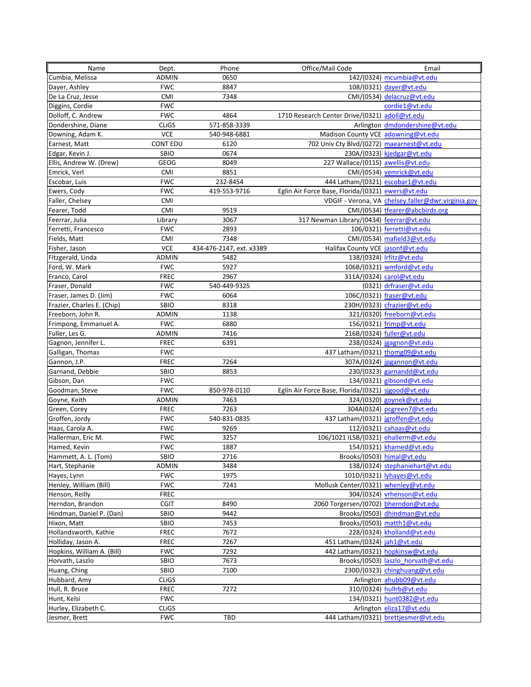| Name                       | Dept.           | Phone                    | Office/Mail Code                                   | Email                                              |
|----------------------------|-----------------|--------------------------|----------------------------------------------------|----------------------------------------------------|
| Cumbia, Melissa            | <b>ADMIN</b>    | 0650                     |                                                    | 142/(0324) mcumbia@vt.edu                          |
| Dayer, Ashley              | <b>FWC</b>      | 8847                     |                                                    | 108/(0321) dayer@vt.edu                            |
| De La Cruz, Jesse          | <b>CMI</b>      | 7348                     |                                                    | CMI/(0534) delacruz@vt.edu                         |
| Diggins, Cordie            | <b>FWC</b>      |                          |                                                    | cordie1@vt.edu                                     |
| Dolloff, C. Andrew         | <b>FWC</b>      | 4864                     | 1710 Research Center Drive/(0321) adoll@vt.edu     |                                                    |
| Dondershine, Diane         | <b>CLIGS</b>    | 571-858-3339             |                                                    | Arlington dmdondershine@vt.edu                     |
| Downing, Adam K.           | <b>VCE</b>      | 540-948-6881             | Madison County VCE adowning@vt.edu                 |                                                    |
| Earnest, Matt              | <b>CONT EDU</b> | 6120                     | 702 Univ Cty Blvd/(0272) maearnest@vt.edu          |                                                    |
| Edgar, Kevin J.            | SBIO            | 0674                     |                                                    | 230A/(0323) kjedgar@vt.edu                         |
| Ellis, Andrew W. (Drew)    | GEOG            | 8049                     | 227 Wallace/(0115) awellis@vt.edu                  |                                                    |
| Emrick, Verl               | <b>CMI</b>      | 8851                     |                                                    | CMI/(0534) vemrick@vt.edu                          |
| Escobar, Luis              | <b>FWC</b>      | 232-8454                 | 444 Latham/(0321) escobar1@vt.edu                  |                                                    |
| Ewers, Cody                | <b>FWC</b>      | 419-553-9716             | Eglin Air Force Base, Florida/(0321) ewers@vt.edu  |                                                    |
| Faller, Chelsey            | <b>CMI</b>      |                          |                                                    | VDGIF - Verona, VA chelsey.faller@dwr.virginia.gov |
|                            | CMI             | 9519                     |                                                    |                                                    |
| Fearer, Todd               |                 | 3067                     |                                                    | CMI/(0534) tfearer@abcbirds.org                    |
| Feerrar, Julia             | Library         |                          | 317 Newman Library/(0434) feerrar@vt.edu           |                                                    |
| Ferretti, Francesco        | <b>FWC</b>      | 2893                     |                                                    | 106/0321) ferretti@vt.edu                          |
| Fields, Matt               | <b>CMI</b>      | 7348                     |                                                    | CMI/(0534) mafield3@vt.edu                         |
| Fisher, Jason              | <b>VCE</b>      | 434-476-2147, ext. x3389 | Halifax County VCE jasonf@vt.edu                   |                                                    |
| Fitzgerald, Linda          | ADMIN           | 5482                     |                                                    | 138/(0324) Irfitz@vt.edu                           |
| Ford, W. Mark              | <b>FWC</b>      | 5927                     |                                                    | 106B/(0321) wmford@vt.edu                          |
| Franco, Carol              | FREC            | 2967                     |                                                    | 311A/(0324) carol@vt.edu                           |
| Fraser, Donald             | <b>FWC</b>      | 540-449-9325             |                                                    | (0321) drfraser@vt.edu                             |
| Fraser, James D. (Jim)     | <b>FWC</b>      | 6064                     |                                                    | 106C/(0321) fraser@vt.edu                          |
| Frazier, Charles E. (Chip) | SBIO            | 8318                     |                                                    | 230H/(0323) cfrazier@vt.edu                        |
| Freeborn, John R.          | ADMIN           | 1138                     |                                                    | 321/(0320) freeborn@vt.edu                         |
| Frimpong, Emmanuel A.      | <b>FWC</b>      | 6880                     |                                                    | 156/(0321) frimp@vt.edu                            |
| Fuller, Les G.             | ADMIN           | 7416                     |                                                    | 216B/(0324) fuller@vt.edu                          |
| Gagnon, Jennifer L.        | <b>FREC</b>     | 6391                     |                                                    | $238/(0324)$ jgagnon@vt.edu                        |
| Galligan, Thomas           | <b>FWC</b>      |                          | 437 Latham/(0321) thomg09@vt.edu                   |                                                    |
| Gannon, J.P.               | <b>FREC</b>     | 7264                     |                                                    | 307A/(0324) jpgannon@vt.edu                        |
| Garnand, Debbie            | SBIO            | 8853                     |                                                    | 230/(0323) garnandd@vt.edu                         |
| Gibson, Dan                | <b>FWC</b>      |                          |                                                    | 134/(0321) gibsond@vt.edu                          |
| Goodman, Steve             | <b>FWC</b>      | 850-978-0110             | Eglin Air Force Base, Florida/(0321) sjgood@vt.edu |                                                    |
| Goyne, Keith               | ADMIN           | 7463                     |                                                    | 324/(0320) goynek@vt.edu                           |
| Green, Corey               | <b>FREC</b>     | 7263                     |                                                    | 304A(0324) pcgreen7@vt.edu                         |
| Groffen, Jordy             | <b>FWC</b>      | 540-831-0835             | 437 Latham/(0321) jgroffen@vt.edu                  |                                                    |
| Haas, Carola A.            | <b>FWC</b>      | 9269                     |                                                    | $112/(0321)$ cahaas@vt.edu                         |
| Hallerman, Eric M.         | <b>FWC</b>      | 3257                     | 106/1021 ILSB/(0321) ehallerm@vt.edu               |                                                    |
| Hamed, Kevin               | <b>FWC</b>      | 1887                     |                                                    | 154/(0321) khamed@vt.edu                           |
| Hammett, A. L. (Tom)       | SBIO            | 2716                     |                                                    | Brooks/(0503) himal@vt.edu                         |
| Hart, Stephanie            | ADMIN           | 3484                     |                                                    | 138/(0324) stephaniehart@vt.edu                    |
| Hayes, Lynn                | <b>FWC</b>      | 1975                     |                                                    | 101D/(0321) lyhayes@vt.edu                         |
| Henley, William (Bill)     | <b>FWC</b>      | 7241                     | Mollusk Center/(0321) whenley@vt.edu               |                                                    |
| Henson, Reilly             | <b>FREC</b>     |                          |                                                    | 304/(0324) vrhenson@vt.edu                         |
| Herndon, Brandon           | <b>CGIT</b>     | 8490                     | 2060 Torgersen/(0702) bherndon@vt.edu              |                                                    |
| Hindman, Daniel P. (Dan)   | SBIO            | 9442                     |                                                    | Brooks/(0503) dhindman@vt.edu                      |
| Hixon, Matt                | SBIO            | 7453                     |                                                    | Brooks/(0503) matth1@vt.edu                        |
| Hollandsworth, Kathie      | <b>FREC</b>     | 7672                     |                                                    | 228/(0324) kholland@vt.edu                         |
| Holliday, Jason A.         | <b>FREC</b>     | 7267                     | 451 Latham/(0324) jah1@vt.edu                      |                                                    |
| Hopkins, William A. (Bill) | <b>FWC</b>      | 7292                     | 442 Latham/(0321) hopkinsw@vt.edu                  |                                                    |
| Horvath, Laszlo            | SBIO            | 7673                     |                                                    | Brooks/(0503) laszlo horvath@vt.edu                |
| Huang, Ching               | SBIO            | 7100                     |                                                    | 230D/(0323) chinghuang@vt.edu                      |
| Hubbard, Amy               | <b>CLIGS</b>    |                          |                                                    | Arlington ahubb09@vt.edu                           |
| Hull, R. Bruce             | <b>FREC</b>     | 7272                     |                                                    | 310/(0324) hullrb@vt.edu                           |
| Hunt, Kelsi                | <b>FWC</b>      |                          |                                                    | 134/(0321) hunt0382@vt.edu                         |
| Hurley, Elizabeth C.       | <b>CLIGS</b>    |                          |                                                    | Arlington eliza17@vt.edu                           |
| Jesmer, Brett              | <b>FWC</b>      | TBD                      |                                                    | 444 Latham/(0321) brettjesmer@vt.edu               |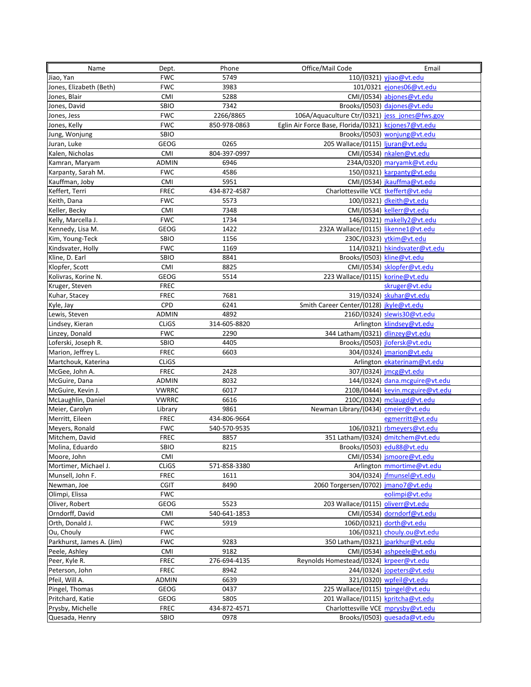| Name                      | Dept.        | Phone        | Office/Mail Code                                     | Email                            |
|---------------------------|--------------|--------------|------------------------------------------------------|----------------------------------|
| Jiao, Yan                 | <b>FWC</b>   | 5749         |                                                      | 110/(0321) yjjao@vt.edu          |
| Jones, Elizabeth (Beth)   | <b>FWC</b>   | 3983         |                                                      | 101/0321 ejones06@vt.edu         |
| Jones, Blair              | <b>CMI</b>   | 5288         |                                                      | CMI/(0534) abjones@vt.edu        |
| Jones, David              | SBIO         | 7342         |                                                      | Brooks/(0503) dajones@vt.edu     |
| Jones, Jess               | <b>FWC</b>   | 2266/8865    | 106A/Aquaculture Ctr/(0321) jess jones@fws.gov       |                                  |
| Jones, Kelly              | <b>FWC</b>   | 850-978-0863 | Eglin Air Force Base, Florida/(0321) kcjones7@vt.edu |                                  |
| Jung, Wonjung             | SBIO         |              |                                                      | Brooks/(0503) wonjung@vt.edu     |
| Juran, Luke               | GEOG         | 0265         | 205 Wallace/(0115) ljuran@vt.edu                     |                                  |
| Kalen, Nicholas           | <b>CMI</b>   | 804-397-0997 |                                                      | CMI/(0534) nkalen@vt.edu         |
| Kamran, Maryam            | ADMIN        | 6946         |                                                      | 234A/0320) maryamk@vt.edu        |
| Karpanty, Sarah M.        | <b>FWC</b>   | 4586         |                                                      | 150/(0321) karpanty@vt.edu       |
| Kauffman, Joby            | <b>CMI</b>   | 5951         |                                                      | CMI/(0534) jkauffma@vt.edu       |
| Keffert, Terri            | <b>FREC</b>  | 434-872-4587 | Charlottesville VCE tkeffert@vt.edu                  |                                  |
| Keith, Dana               | <b>FWC</b>   | 5573         |                                                      | 100/(0321) dkeith@vt.edu         |
| Keller, Becky             | <b>CMI</b>   | 7348         |                                                      | CMI/(0534) kellerr@vt.edu        |
|                           | <b>FWC</b>   | 1734         |                                                      |                                  |
| Kelly, Marcella J.        |              |              |                                                      | 146/(0321) makelly2@vt.edu       |
| Kennedy, Lisa M.          | GEOG         | 1422         | 232A Wallace/(0115) likenne1@vt.edu                  |                                  |
| Kim, Young-Teck           | SBIO         | 1156         |                                                      | 230C/(0323) ytkim@vt.edu         |
| Kindsvater, Holly         | <b>FWC</b>   | 1169         |                                                      | 114/(0321) hkindsvater@vt.edu    |
| Kline, D. Earl            | SBIO         | 8841         | Brooks/(0503) kline@vt.edu                           |                                  |
| Klopfer, Scott            | <b>CMI</b>   | 8825         |                                                      | CMI/(0534) sklopfer@vt.edu       |
| Kolivras, Korine N.       | GEOG         | 5514         | 223 Wallace/(0115) korine@vt.edu                     |                                  |
| Kruger, Steven            | <b>FREC</b>  |              |                                                      | skruger@vt.edu                   |
| Kuhar, Stacey             | <b>FREC</b>  | 7681         |                                                      | 319/(0324) skuhar@vt.edu         |
| Kyle, Jay                 | <b>CPD</b>   | 6241         | Smith Career Center/(0128) jkyle@vt.edu              |                                  |
| Lewis, Steven             | <b>ADMIN</b> | 4892         |                                                      | 216D/(0324) slewis30@vt.edu      |
| Lindsey, Kieran           | <b>CLIGS</b> | 314-605-8820 |                                                      | Arlington klindsey@vt.edu        |
| Linzey, Donald            | <b>FWC</b>   | 2290         | 344 Latham/(0321) dlinzey@vt.edu                     |                                  |
| Loferski, Joseph R.       | SBIO         | 4405         |                                                      | Brooks/(0503) jlofersk@vt.edu    |
| Marion, Jeffrey L.        | <b>FREC</b>  | 6603         |                                                      | 304/(0324) jmarion@vt.edu        |
| Martchouk, Katerina       | <b>CLIGS</b> |              |                                                      | Arlington ekaterinam@vt.edu      |
| McGee, John A.            | <b>FREC</b>  | 2428         |                                                      | 307/(0324) jmcg@vt.edu           |
| McGuire, Dana             | ADMIN        | 8032         |                                                      | 144/(0324) dana.mcguire@vt.edu   |
| McGuire, Kevin J.         | <b>VWRRC</b> | 6017         |                                                      | 210B/(0444) kevin.mcguire@vt.edu |
| McLaughlin, Daniel        | <b>VWRRC</b> | 6616         |                                                      | 210C/(0324) mclaugd@vt.edu       |
| Meier, Carolyn            | Library      | 9861         | Newman Library/(0434) cmeier@vt.edu                  |                                  |
| Merritt, Eileen           | <b>FREC</b>  | 434-806-9664 |                                                      | egmerritt@vt.edu                 |
| Meyers, Ronald            | <b>FWC</b>   | 540-570-9535 |                                                      | 106/(0321) rbmeyers@vt.edu       |
| Mitchem, David            | <b>FREC</b>  | 8857         | 351 Latham/(0324) dmitchem@vt.edu                    |                                  |
| Molina, Eduardo           | SBIO         | 8215         |                                                      | Brooks/(0503) edu88@vt.edu       |
| Moore, John               | <b>CMI</b>   |              |                                                      | CMI/(0534) jsmoore@vt.edu        |
| Mortimer, Michael J.      | <b>CLIGS</b> | 571-858-3380 |                                                      | Arlington mmortime@vt.edu        |
| Munsell, John F.          | <b>FREC</b>  | 1611         |                                                      | 304/(0324) jfmunsel@vt.edu       |
| Newman, Joe               | <b>CGIT</b>  | 8490         | 2060 Torgersen/(0702) imano7@vt.edu                  |                                  |
| Olimpi, Elissa            | <b>FWC</b>   |              |                                                      | eolimpi@vt.edu                   |
| Oliver, Robert            | GEOG         | 5523         | 203 Wallace/(0115) oliverr@vt.edu                    |                                  |
| Orndorff, David           | <b>CMI</b>   | 540-641-1853 |                                                      | CMI/(0534) dorndorf@vt.edu       |
| Orth, Donald J.           | <b>FWC</b>   | 5919         |                                                      | 106D/(0321) dorth@vt.edu         |
| Ou, Chouly                | <b>FWC</b>   |              |                                                      | 106/(0321) chouly.ou@vt.edu      |
| Parkhurst, James A. (Jim) | <b>FWC</b>   | 9283         | 350 Latham/(0321) jparkhur@vt.edu                    |                                  |
| Peele, Ashley             | CMI          | 9182         |                                                      | CMI/(0534) ashpeele@vt.edu       |
| Peer, Kyle R.             | <b>FREC</b>  | 276-694-4135 | Reynolds Homestead/(0324) krpeer@vt.edu              |                                  |
| Peterson, John            | <b>FREC</b>  | 8942         |                                                      | 244/(0324) jopeters@vt.edu       |
| Pfeil, Will A.            | ADMIN        | 6639         |                                                      | 321/(0320) wpfeil@vt.edu         |
| Pingel, Thomas            | GEOG         | 0437         | 225 Wallace/(0115) tpingel@vt.edu                    |                                  |
| Pritchard, Katie          | GEOG         | 5805         | 201 Wallace/(0115) kpritcha@vt.edu                   |                                  |
| Prysby, Michelle          | <b>FREC</b>  | 434-872-4571 | Charlottesville VCE mprysby@vt.edu                   |                                  |
| Quesada, Henry            | SBIO         | 0978         |                                                      | Brooks/(0503) quesada@vt.edu     |
|                           |              |              |                                                      |                                  |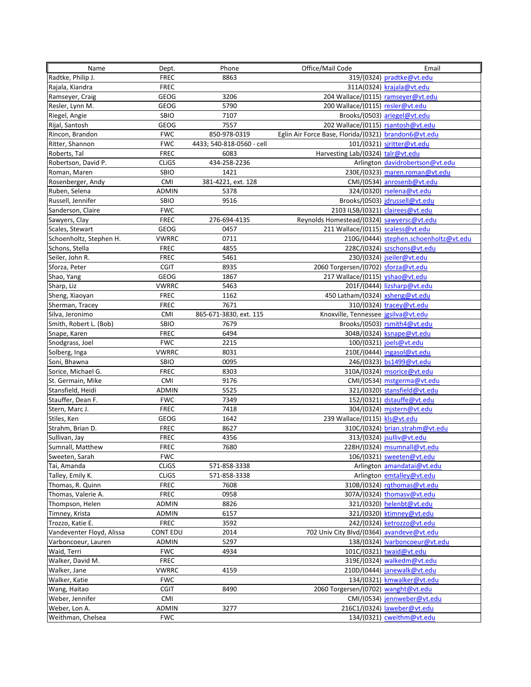| Name                              | Dept.                      | Phone                     | Office/Mail Code                                     | Email                                                    |
|-----------------------------------|----------------------------|---------------------------|------------------------------------------------------|----------------------------------------------------------|
| Radtke, Philip J.                 | <b>FREC</b>                | 8863                      |                                                      | 319/(0324) pradtke@vt.edu                                |
| Rajala, Kiandra                   | <b>FREC</b>                |                           |                                                      | 311A(0324) krajala@vt.edu                                |
| Ramseyer, Craig                   | GEOG                       | 3206                      | 204 Wallace/(0115) ramseyer@vt.edu                   |                                                          |
| Resler, Lynn M.                   | GEOG                       | 5790                      | 200 Wallace/(0115) resler@vt.edu                     |                                                          |
| Riegel, Angie                     | SBIO                       | 7107                      |                                                      | Brooks/(0503) ariegel@vt.edu                             |
| Rijal, Santosh                    | <b>GEOG</b>                | 7557                      | 202 Wallace/(0115) rsantosh@vt.edu                   |                                                          |
| Rincon, Brandon                   | <b>FWC</b>                 | 850-978-0319              | Eglin Air Force Base, Florida/(0321) brandon6@vt.edu |                                                          |
| Ritter, Shannon                   | <b>FWC</b>                 | 4433; 540-818-0560 - cell |                                                      | 101/(0321) sjritter@vt.edu                               |
| Roberts, Tal                      | <b>FREC</b>                | 6083                      | Harvesting Lab/(0324) talr@vt.edu                    |                                                          |
| Robertson, David P.               | <b>CLIGS</b>               | 434-258-2236              |                                                      | Arlington davidrobertson@vt.edu                          |
| Roman, Maren                      | <b>SBIO</b>                | 1421                      |                                                      | 230E/(0323) maren.roman@vt.edu                           |
| Rosenberger, Andy                 | <b>CMI</b>                 | 381-4221, ext. 128        |                                                      | CMI/(0534) anrosenb@vt.edu                               |
| Ruben, Selena                     | <b>ADMIN</b>               | 5378                      |                                                      | 324/(0320) rselena@vt.edu                                |
| Russell, Jennifer                 | <b>SBIO</b>                | 9516                      |                                                      | Brooks/(0503) jdrussell@vt.edu                           |
| Sanderson, Claire                 | <b>FWC</b>                 |                           | 2103 ILSB/(0321) clairees@vt.edu                     |                                                          |
| Sawyers, Clay                     | <b>FREC</b>                | 276-694-4135              | Reynolds Homestead/(0324) sawyersc@vt.edu            |                                                          |
| Scales, Stewart                   | <b>GEOG</b>                | 0457                      | 211 Wallace/(0115) scaless@vt.edu                    |                                                          |
|                                   |                            | 0711                      |                                                      |                                                          |
| Schoenholtz, Stephen H.           | <b>VWRRC</b>               | 4855                      |                                                      | 210G/(0444) stephen.schoenholtz@vt.edu                   |
| Schons, Stella<br>Seiler, John R. | <b>FREC</b><br><b>FREC</b> | 5461                      |                                                      | 228C/(0324) szschons@vt.edu<br>230/(0324) jseiler@vt.edu |
|                                   | <b>CGIT</b>                | 8935                      | 2060 Torgersen/(0702) sforza@vt.edu                  |                                                          |
| Sforza, Peter                     |                            |                           |                                                      |                                                          |
| Shao, Yang                        | GEOG                       | 1867                      | 217 Wallace/(0115) yshao@vt.edu                      |                                                          |
| Sharp, Liz                        | <b>VWRRC</b>               | 5463                      |                                                      | 201F/(0444) lizsharp@vt.edu                              |
| Sheng, Xiaoyan                    | <b>FREC</b>                | 1162                      | 450 Latham/(0324) xsheng@vt.edu                      |                                                          |
| Sherman, Tracey                   | <b>FREC</b>                | 7671                      |                                                      | 310/(0324) tracey@vt.edu                                 |
| Silva, Jeronimo                   | CMI                        | 865-671-3830, ext. 115    | Knoxville, Tennessee jgsilva@vt.edu                  |                                                          |
| Smith, Robert L. (Bob)            | SBIO                       | 7679                      |                                                      | Brooks/(0503) rsmith4@vt.edu                             |
| Snape, Karen                      | <b>FREC</b>                | 6494                      |                                                      | 304B/(0324) ksnape@vt.edu                                |
| Snodgrass, Joel                   | <b>FWC</b>                 | 2215                      |                                                      | 100/(0321) joels@vt.edu                                  |
| Solberg, Inga                     | <b>VWRRC</b>               | 8031                      |                                                      | 210E/(0444) ingasol@vt.edu                               |
| Soni, Bhawna                      | SBIO                       | 0095                      |                                                      | 246/(0323) bs1499@vt.edu                                 |
| Sorice, Michael G.                | <b>FREC</b>                | 8303                      |                                                      | 310A/(0324) msorice@vt.edu                               |
| St. Germain, Mike                 | CMI                        | 9176                      |                                                      | CMI/(0534) mstgerma@vt.edu                               |
| Stansfield, Heidi                 | ADMIN                      | 5525                      |                                                      | 321/(0320) stansfield@vt.edu                             |
| Stauffer, Dean F.                 | <b>FWC</b>                 | 7349                      |                                                      | 152/(0321) dstauffe@vt.edu                               |
| Stern, Marc J.                    | <b>FREC</b>                | 7418                      |                                                      | 304/(0324) mjstern@vt.edu                                |
| Stiles, Ken                       | GEOG                       | 1642                      | 239 Wallace/(0115) kls@vt.edu                        |                                                          |
| Strahm, Brian D.                  | <b>FREC</b>                | 8627                      |                                                      | 310C/(0324) brian.strahm@vt.edu                          |
| Sullivan, Jay                     | <b>FREC</b>                | 4356                      |                                                      | 313/(0324) jsulliv@vt.edu                                |
| Sumnall, Matthew                  | FREC                       | 7680                      |                                                      | 228H/(0324) msumnall@vt.edu                              |
| Sweeten, Sarah                    | <b>FWC</b>                 |                           |                                                      | 106/(0321) sweeten@vt.edu                                |
| Tai, Amanda                       | <b>CLIGS</b>               | 571-858-3338              |                                                      | Arlington amandatai@vt.edu                               |
| Talley, Emily K.                  | <b>CLIGS</b>               | 571-858-3338              |                                                      | Arlington emtalley@vt.edu                                |
| Thomas, R. Quinn                  | <b>FREC</b>                | 7608                      |                                                      | 310B/(0324) rathomas@vt.edu                              |
| Thomas, Valerie A.                | FREC                       | 0958                      |                                                      | 307A/(0324) thomasv@vt.edu                               |
| Thompson, Helen                   | ADMIN                      | 8826                      |                                                      | 321/(0320) helenbt@vt.edu                                |
| Timney, Krista                    | ADMIN                      | 6157                      |                                                      | 321/(0320) ktimney@vt.edu                                |
| Trozzo, Katie E.                  | FREC                       | 3592                      |                                                      | 242/(0324) ketrozzo@vt.edu                               |
| Vandeventer Floyd, Alissa         | <b>CONT EDU</b>            | 2014                      | 702 Univ City Blvd/(0364) avandeve@vt.edu            |                                                          |
| Varboncoeur, Lauren               | ADMIN                      | 5297                      |                                                      | 138/(0324) lvarboncoeur@vt.edu                           |
| Waid, Terri                       | <b>FWC</b>                 | 4934                      |                                                      | 101C/(0321) twaid@vt.edu                                 |
| Walker, David M.                  | <b>FREC</b>                |                           |                                                      | 319E/(0324) walkedm@vt.edu                               |
| Walker, Jane                      | <b>VWRRC</b>               | 4159                      |                                                      | 210D/(0444) janewalk@vt.edu                              |
| Walker, Katie                     | <b>FWC</b>                 |                           |                                                      | 134/(0321) kmwalker@vt.edu                               |
| Wang, Haitao                      | <b>CGIT</b>                | 8490                      | 2060 Torgersen/(0702) wanght@vt.edu                  |                                                          |
| Weber, Jennifer                   | <b>CMI</b>                 |                           |                                                      | CMI/(0534) jennweber@vt.edu                              |
| Weber, Lon A.                     | ADMIN                      | 3277                      |                                                      | 216C1/(0324) laweber@vt.edu                              |
| Weithman, Chelsea                 | <b>FWC</b>                 |                           |                                                      | 134/(0321) cweithm@vt.edu                                |
|                                   |                            |                           |                                                      |                                                          |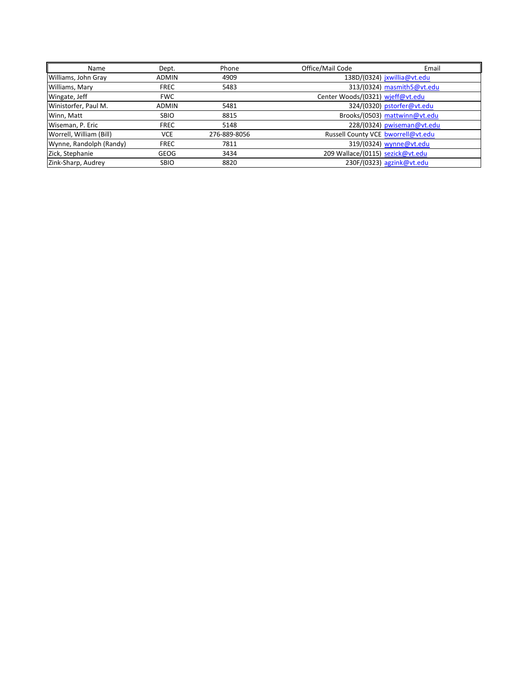| Name                    | Dept.        | Phone        | Office/Mail Code<br>Email          |
|-------------------------|--------------|--------------|------------------------------------|
| Williams, John Gray     | <b>ADMIN</b> | 4909         | 138D/(0324) jxwillia@vt.edu        |
| Williams, Mary          | <b>FREC</b>  | 5483         | 313/(0324) masmith5@vt.edu         |
| Wingate, Jeff           | <b>FWC</b>   |              | Center Woods/(0321) wjeff@vt.edu   |
| Winistorfer, Paul M.    | <b>ADMIN</b> | 5481         | 324/(0320) pstorfer@vt.edu         |
| Winn, Matt              | <b>SBIO</b>  | 8815         | Brooks/(0503) mattwinn@vt.edu      |
| Wiseman, P. Eric        | <b>FREC</b>  | 5148         | 228/(0324) pwiseman@vt.edu         |
| Worrell, William (Bill) | <b>VCE</b>   | 276-889-8056 | Russell County VCE bworrell@vt.edu |
| Wynne, Randolph (Randy) | <b>FREC</b>  | 7811         | 319/(0324) wynne@vt.edu            |
| Zick, Stephanie         | <b>GEOG</b>  | 3434         | 209 Wallace/(0115) sezick@vt.edu   |
| Zink-Sharp, Audrey      | <b>SBIO</b>  | 8820         | 230F/(0323) agzink@vt.edu          |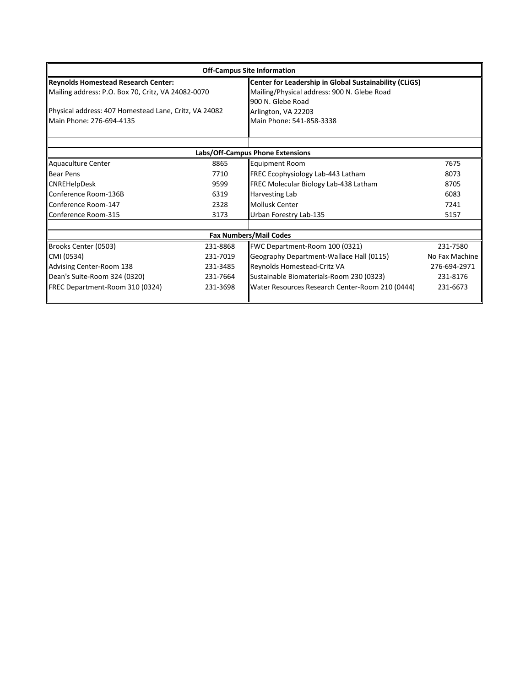| <b>Off-Campus Site Information</b>                    |          |                                                 |                                                        |  |  |
|-------------------------------------------------------|----------|-------------------------------------------------|--------------------------------------------------------|--|--|
| Reynolds Homestead Research Center:                   |          |                                                 | Center for Leadership in Global Sustainability (CLiGS) |  |  |
| Mailing address: P.O. Box 70, Critz, VA 24082-0070    |          | Mailing/Physical address: 900 N. Glebe Road     |                                                        |  |  |
|                                                       |          | 900 N. Glebe Road                               |                                                        |  |  |
| Physical address: 407 Homestead Lane, Critz, VA 24082 |          | Arlington, VA 22203                             |                                                        |  |  |
| Main Phone: 276-694-4135                              |          | Main Phone: 541-858-3338                        |                                                        |  |  |
|                                                       |          |                                                 |                                                        |  |  |
|                                                       |          | Labs/Off-Campus Phone Extensions                |                                                        |  |  |
| Aquaculture Center                                    | 8865     | <b>Equipment Room</b>                           | 7675                                                   |  |  |
| <b>Bear Pens</b>                                      | 7710     | FREC Ecophysiology Lab-443 Latham               | 8073                                                   |  |  |
| <b>CNREHelpDesk</b>                                   | 9599     | FREC Molecular Biology Lab-438 Latham           | 8705                                                   |  |  |
| Conference Room-136B                                  | 6319     | Harvesting Lab                                  | 6083                                                   |  |  |
| Conference Room-147                                   | 2328     | <b>Mollusk Center</b>                           | 7241                                                   |  |  |
| Conference Room-315                                   | 3173     | Urban Forestry Lab-135                          | 5157                                                   |  |  |
|                                                       |          |                                                 |                                                        |  |  |
|                                                       |          | <b>Fax Numbers/Mail Codes</b>                   |                                                        |  |  |
| Brooks Center (0503)                                  | 231-8868 | FWC Department-Room 100 (0321)                  | 231-7580                                               |  |  |
| CMI (0534)                                            | 231-7019 | Geography Department-Wallace Hall (0115)        | No Fax Machine                                         |  |  |
| Advising Center-Room 138                              | 231-3485 | Reynolds Homestead-Critz VA                     | 276-694-2971                                           |  |  |
| Dean's Suite-Room 324 (0320)                          | 231-7664 | Sustainable Biomaterials-Room 230 (0323)        | 231-8176                                               |  |  |
| FREC Department-Room 310 (0324)                       | 231-3698 | Water Resources Research Center-Room 210 (0444) | 231-6673                                               |  |  |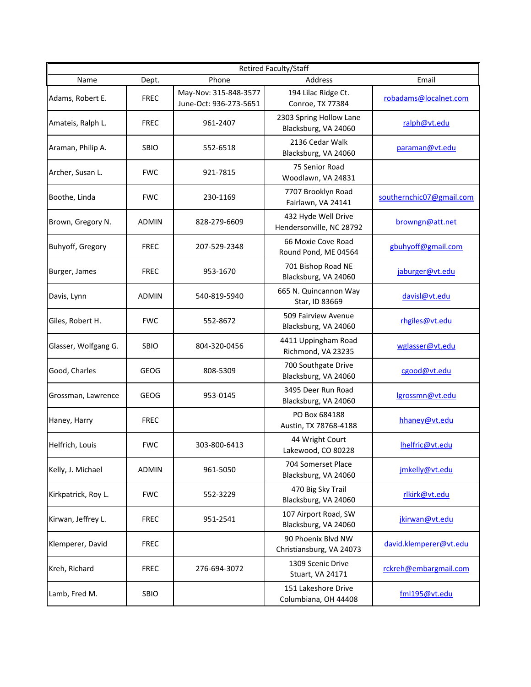| <b>Retired Faculty/Staff</b> |              |                                                 |                                                 |                          |  |  |
|------------------------------|--------------|-------------------------------------------------|-------------------------------------------------|--------------------------|--|--|
| Name                         | Dept.        | Phone                                           | Address                                         | Email                    |  |  |
| Adams, Robert E.             | <b>FREC</b>  | May-Nov: 315-848-3577<br>June-Oct: 936-273-5651 | 194 Lilac Ridge Ct.<br>Conroe, TX 77384         | robadams@localnet.com    |  |  |
| Amateis, Ralph L.            | <b>FREC</b>  | 961-2407                                        | 2303 Spring Hollow Lane<br>Blacksburg, VA 24060 | ralph@vt.edu             |  |  |
| Araman, Philip A.            | SBIO         | 552-6518                                        | 2136 Cedar Walk<br>Blacksburg, VA 24060         | paraman@vt.edu           |  |  |
| Archer, Susan L.             | <b>FWC</b>   | 921-7815                                        | 75 Senior Road<br>Woodlawn, VA 24831            |                          |  |  |
| Boothe, Linda                | <b>FWC</b>   | 230-1169                                        | 7707 Brooklyn Road<br>Fairlawn, VA 24141        | southernchic07@gmail.com |  |  |
| Brown, Gregory N.            | <b>ADMIN</b> | 828-279-6609                                    | 432 Hyde Well Drive<br>Hendersonville, NC 28792 | browngn@att.net          |  |  |
| Buhyoff, Gregory             | <b>FREC</b>  | 207-529-2348                                    | 66 Moxie Cove Road<br>Round Pond, ME 04564      | gbuhyoff@gmail.com       |  |  |
| Burger, James                | <b>FREC</b>  | 953-1670                                        | 701 Bishop Road NE<br>Blacksburg, VA 24060      | jaburger@vt.edu          |  |  |
| Davis, Lynn                  | <b>ADMIN</b> | 540-819-5940                                    | 665 N. Quincannon Way<br>Star, ID 83669         | davisl@vt.edu            |  |  |
| Giles, Robert H.             | <b>FWC</b>   | 552-8672                                        | 509 Fairview Avenue<br>Blacksburg, VA 24060     | rhgiles@vt.edu           |  |  |
| Glasser, Wolfgang G.         | SBIO         | 804-320-0456                                    | 4411 Uppingham Road<br>Richmond, VA 23235       | wglasser@vt.edu          |  |  |
| Good, Charles                | <b>GEOG</b>  | 808-5309                                        | 700 Southgate Drive<br>Blacksburg, VA 24060     | cgood@vt.edu             |  |  |
| Grossman, Lawrence           | GEOG         | 953-0145                                        | 3495 Deer Run Road<br>Blacksburg, VA 24060      | lgrossmn@vt.edu          |  |  |
| Haney, Harry                 | <b>FREC</b>  |                                                 | PO Box 684188<br>Austin, TX 78768-4188          | hhaney@vt.edu            |  |  |
| Helfrich, Louis              | <b>FWC</b>   | 303-800-6413                                    | 44 Wright Court<br>Lakewood, CO 80228           | Ihelfric@vt.edu          |  |  |
| Kelly, J. Michael            | <b>ADMIN</b> | 961-5050                                        | 704 Somerset Place<br>Blacksburg, VA 24060      | jmkelly@vt.edu           |  |  |
| Kirkpatrick, Roy L.          | <b>FWC</b>   | 552-3229                                        | 470 Big Sky Trail<br>Blacksburg, VA 24060       | rlkirk@vt.edu            |  |  |
| Kirwan, Jeffrey L.           | <b>FREC</b>  | 951-2541                                        | 107 Airport Road, SW<br>Blacksburg, VA 24060    | jkirwan@vt.edu           |  |  |
| Klemperer, David             | <b>FREC</b>  |                                                 | 90 Phoenix Blvd NW<br>Christiansburg, VA 24073  | david.klemperer@vt.edu   |  |  |
| Kreh, Richard                | <b>FREC</b>  | 276-694-3072                                    | 1309 Scenic Drive<br>Stuart, VA 24171           | rckreh@embargmail.com    |  |  |
| Lamb, Fred M.                | SBIO         |                                                 | 151 Lakeshore Drive<br>Columbiana, OH 44408     | fml195@vt.edu            |  |  |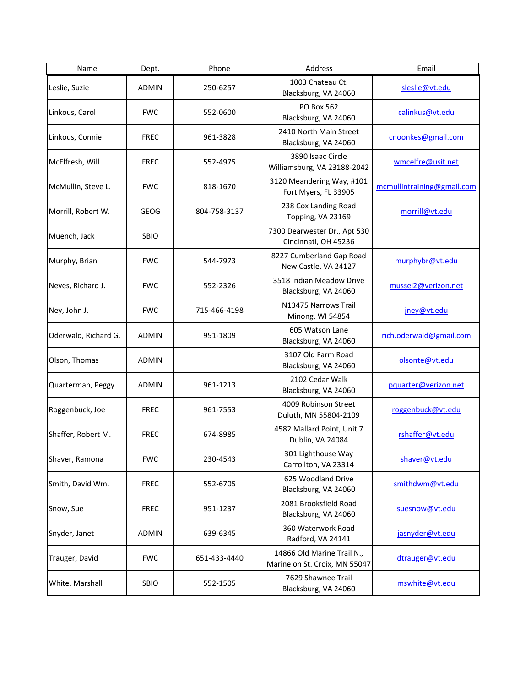| Name                 | Dept.        | Phone        | Address                                                     | Email                      |
|----------------------|--------------|--------------|-------------------------------------------------------------|----------------------------|
| Leslie, Suzie        | <b>ADMIN</b> | 250-6257     | 1003 Chateau Ct.<br>Blacksburg, VA 24060                    | sleslie@vt.edu             |
| Linkous, Carol       | <b>FWC</b>   | 552-0600     | PO Box 562<br>Blacksburg, VA 24060                          | calinkus@vt.edu            |
| Linkous, Connie      | <b>FREC</b>  | 961-3828     | 2410 North Main Street<br>Blacksburg, VA 24060              | cnoonkes@gmail.com         |
| McElfresh, Will      | <b>FREC</b>  | 552-4975     | 3890 Isaac Circle<br>Williamsburg, VA 23188-2042            | wmcelfre@usit.net          |
| McMullin, Steve L.   | <b>FWC</b>   | 818-1670     | 3120 Meandering Way, #101<br>Fort Myers, FL 33905           | mcmullintraining@gmail.com |
| Morrill, Robert W.   | <b>GEOG</b>  | 804-758-3137 | 238 Cox Landing Road<br>Topping, VA 23169                   | morrill@vt.edu             |
| Muench, Jack         | <b>SBIO</b>  |              | 7300 Dearwester Dr., Apt 530<br>Cincinnati, OH 45236        |                            |
| Murphy, Brian        | <b>FWC</b>   | 544-7973     | 8227 Cumberland Gap Road<br>New Castle, VA 24127            | murphybr@vt.edu            |
| Neves, Richard J.    | <b>FWC</b>   | 552-2326     | 3518 Indian Meadow Drive<br>Blacksburg, VA 24060            | mussel2@verizon.net        |
| Ney, John J.         | <b>FWC</b>   | 715-466-4198 | N13475 Narrows Trail<br>Minong, WI 54854                    | jney@vt.edu                |
| Oderwald, Richard G. | <b>ADMIN</b> | 951-1809     | 605 Watson Lane<br>Blacksburg, VA 24060                     | rich.oderwald@gmail.com    |
| Olson, Thomas        | ADMIN        |              | 3107 Old Farm Road<br>Blacksburg, VA 24060                  | olsonte@vt.edu             |
| Quarterman, Peggy    | <b>ADMIN</b> | 961-1213     | 2102 Cedar Walk<br>Blacksburg, VA 24060                     | pquarter@verizon.net       |
| Roggenbuck, Joe      | <b>FREC</b>  | 961-7553     | 4009 Robinson Street<br>Duluth, MN 55804-2109               | roggenbuck@vt.edu          |
| Shaffer, Robert M.   | <b>FREC</b>  | 674-8985     | 4582 Mallard Point, Unit 7<br>Dublin, VA 24084              | rshaffer@vt.edu            |
| Shaver, Ramona       | <b>FWC</b>   | 230-4543     | 301 Lighthouse Way<br>Carrollton, VA 23314                  | shaver@vt.edu              |
| Smith, David Wm.     | <b>FREC</b>  | 552-6705     | 625 Woodland Drive<br>Blacksburg, VA 24060                  | smithdwm@vt.edu            |
| Snow, Sue            | <b>FREC</b>  | 951-1237     | 2081 Brooksfield Road<br>Blacksburg, VA 24060               | suesnow@vt.edu             |
| Snyder, Janet        | <b>ADMIN</b> | 639-6345     | 360 Waterwork Road<br>Radford, VA 24141                     | jasnyder@vt.edu            |
| Trauger, David       | <b>FWC</b>   | 651-433-4440 | 14866 Old Marine Trail N.,<br>Marine on St. Croix, MN 55047 | dtrauger@vt.edu            |
| White, Marshall      | SBIO         | 552-1505     | 7629 Shawnee Trail<br>Blacksburg, VA 24060                  | mswhite@vt.edu             |